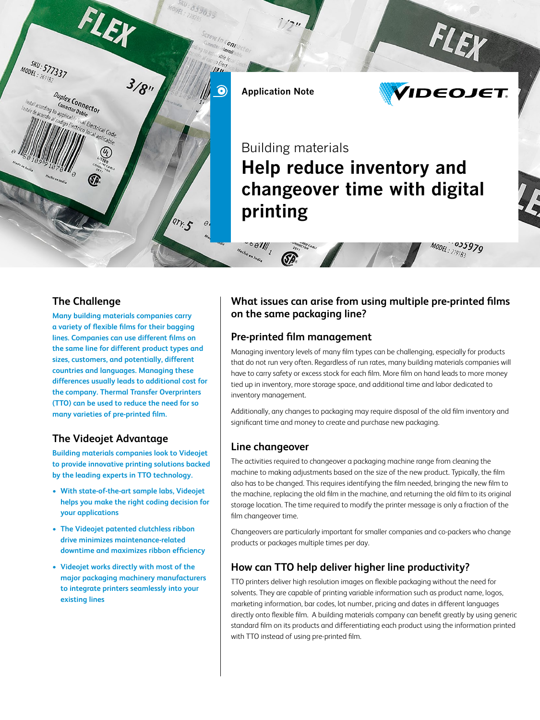

#### **The Challenge**

**Many building materials companies carry a variety of flexible films for their bagging lines. Companies can use different films on the same line for different product types and sizes, customers, and potentially, different countries and languages. Managing these differences usually leads to additional cost for the company. Thermal Transfer Overprinters (TTO) can be used to reduce the need for so many varieties of pre-printed film.**

# **The Videojet Advantage**

**Building materials companies look to Videojet to provide innovative printing solutions backed by the leading experts in TTO technology.**

- **• With state-of-the-art sample labs, Videojet helps you make the right coding decision for your applications**
- **• The Videojet patented clutchless ribbon drive minimizes maintenance-related downtime and maximizes ribbon efficiency**
- **• Videojet works directly with most of the major packaging machinery manufacturers to integrate printers seamlessly into your existing lines**

## **What issues can arise from using multiple pre-printed films on the same packaging line?**

#### **Pre-printed film management**

Managing inventory levels of many film types can be challenging, especially for products that do not run very often. Regardless of run rates, many building materials companies will have to carry safety or excess stock for each film. More film on hand leads to more money tied up in inventory, more storage space, and additional time and labor dedicated to inventory management.

Additionally, any changes to packaging may require disposal of the old film inventory and significant time and money to create and purchase new packaging.

#### **Line changeover**

The activities required to changeover a packaging machine range from cleaning the machine to making adjustments based on the size of the new product. Typically, the film also has to be changed. This requires identifying the film needed, bringing the new film to the machine, replacing the old film in the machine, and returning the old film to its original storage location. The time required to modify the printer message is only a fraction of the film changeover time.

Changeovers are particularly important for smaller companies and co-packers who change products or packages multiple times per day.

# **How can TTO help deliver higher line productivity?**

TTO printers deliver high resolution images on flexible packaging without the need for solvents. They are capable of printing variable information such as product name, logos, marketing information, bar codes, lot number, pricing and dates in different languages directly onto flexible film. A building materials company can benefit greatly by using generic standard film on its products and differentiating each product using the information printed with TTO instead of using pre-printed film.